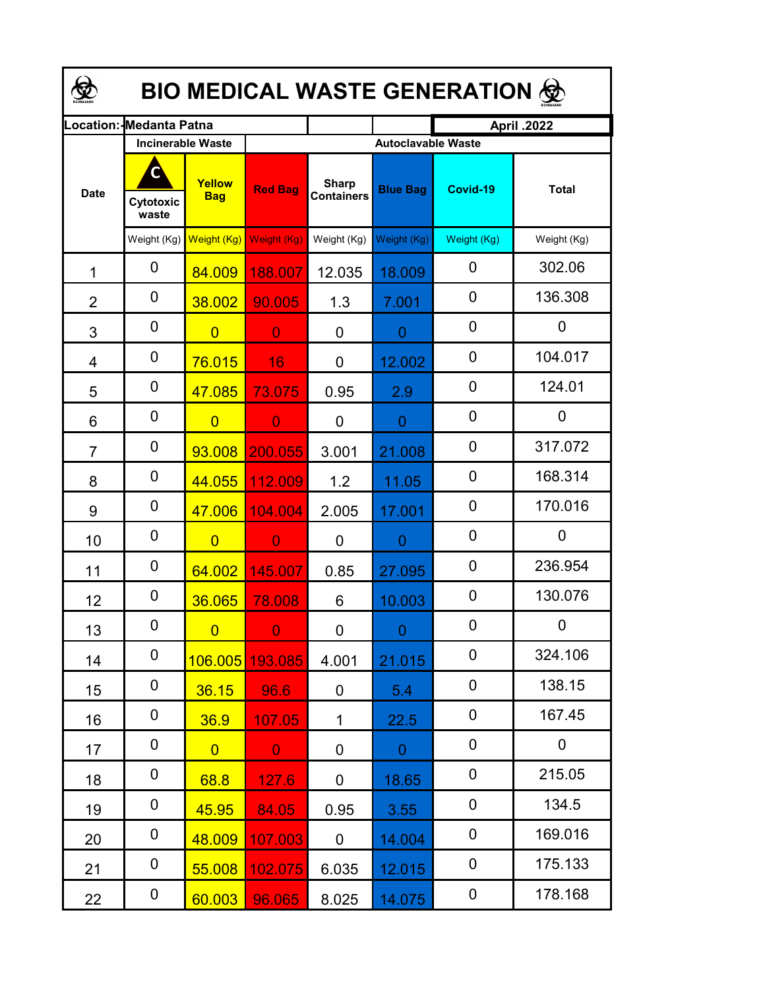| <b>BIO MEDICAL WASTE GENERATION ©</b> |                          |                      |                |                                   |                           |             |              |  |  |  |
|---------------------------------------|--------------------------|----------------------|----------------|-----------------------------------|---------------------------|-------------|--------------|--|--|--|
| .ocation:                             | Medanta Patna            |                      |                |                                   | <b>April .2022</b>        |             |              |  |  |  |
|                                       | <b>Incinerable Waste</b> |                      |                |                                   | <b>Autoclavable Waste</b> |             |              |  |  |  |
| <b>Date</b>                           | Cytotoxic<br>waste       | Yellow<br><b>Bag</b> | <b>Red Bag</b> | <b>Sharp</b><br><b>Containers</b> | <b>Blue Bag</b>           | Covid-19    | <b>Total</b> |  |  |  |
|                                       | Weight (Kg)              | Weight (Kg)          | Weight (Kg)    | Weight (Kg)                       | Weight (Kg)               | Weight (Kg) | Weight (Kg)  |  |  |  |
| 1                                     | 0                        | 84.009               | 188.007        | 12.035                            | 18.009                    | 0           | 302.06       |  |  |  |
| $\overline{2}$                        | 0                        | 38.002               | 90.005         | 1.3                               | 7.001                     | $\mathbf 0$ | 136.308      |  |  |  |
| 3                                     | 0                        | $\overline{0}$       | $\overline{0}$ | 0                                 | $\overline{0}$            | $\mathbf 0$ | 0            |  |  |  |
| 4                                     | 0                        | 76.015               | 16             | 0                                 | 12.002                    | 0           | 104.017      |  |  |  |
| 5                                     | 0                        | 47.085               | 73.075         | 0.95                              | 2.9                       | 0           | 124.01       |  |  |  |
| 6                                     | 0                        | $\overline{0}$       | $\overline{0}$ | 0                                 | 0                         | 0           | 0            |  |  |  |
| $\overline{7}$                        | 0                        | 93.008               | 200.055        | 3.001                             | 21.008                    | 0           | 317.072      |  |  |  |
| 8                                     | 0                        | 44.055               | 112.009        | 1.2                               | 11.05                     | 0           | 168.314      |  |  |  |
| 9                                     | 0                        | 47.006               | 104.004        | 2.005                             | 17.001                    | 0           | 170.016      |  |  |  |
| 10                                    | 0                        | $\overline{0}$       | $\overline{0}$ | 0                                 | $\overline{0}$            | 0           | 0            |  |  |  |
| 11                                    | 0                        | 64.002               | 145.007        | 0.85                              | 27.095                    | 0           | 236.954      |  |  |  |
| 12                                    | 0                        | 36.065               | 78.008         | 6                                 | 10.003                    | 0           | 130.076      |  |  |  |
| 13                                    | 0                        | $\overline{0}$       | $\mathbf{0}$   | 0                                 | $0 -$                     | 0           | 0            |  |  |  |
| 14                                    | 0                        | 106.005              | 193.085        | 4.001                             | 21.015                    | $\pmb{0}$   | 324.106      |  |  |  |
| 15                                    | 0                        | 36.15                | 96.6           | 0                                 | 5.4                       | $\pmb{0}$   | 138.15       |  |  |  |
| 16                                    | 0                        | 36.9                 | 107.05         | 1                                 | 22.5                      | $\pmb{0}$   | 167.45       |  |  |  |
| 17                                    | 0                        | $\overline{0}$       | $\overline{0}$ | 0                                 | $\overline{0}$            | $\pmb{0}$   | 0            |  |  |  |
| 18                                    | 0                        | 68.8                 | 127.6          | 0                                 | 18.65                     | 0           | 215.05       |  |  |  |
| 19                                    | 0                        | 45.95                | 84.05          | 0.95                              | 3.55                      | 0           | 134.5        |  |  |  |
| 20                                    | 0                        | 48.009               | 107.003        | 0                                 | 14.004                    | 0           | 169.016      |  |  |  |
| 21                                    | 0                        | 55.008               | 102.075        | 6.035                             | 12.015                    | 0           | 175.133      |  |  |  |
| 22                                    | 0                        | 60.003               | 96.065         | 8.025                             | 14.075                    | 0           | 178.168      |  |  |  |